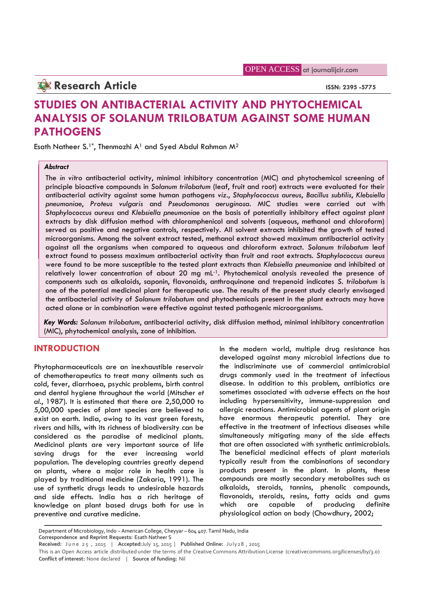OPEN ACCESS at journalijcir.com

**Research Article ISSN: 2395 -5775** 

# **STUDIES ON ANTIBACTERIAL ACTIVITY AND PHYTOCHEMICAL ANALYSIS OF SOLANUM TRILOBATUM AGAINST SOME HUMAN PATHOGENS**

Esath Natheer S.<sup>1\*</sup>, Thenmozhi A<sup>1</sup> and Syed Abdul Rahman M<sup>2</sup>

# *Abstract*

The *in vitro* antibacterial activity, minimal inhibitory concentration (MIC) and phytochemical screening of principle bioactive compounds in *Solanum trilobatum* (leaf, fruit and root) extracts were evaluated for their antibacterial activity against some human pathogens *viz*., *Staphylococcus aureus*, *Bacillus subtilis*, *Klebsiella pneumoniae*, *Proteus vulgaris* and *Pseudomonas aeruginosa*. MIC studies were carried out with *Staphylococcus aureus* and *Klebsiella pneumoniae* on the basis of potentially inhibitory effect against plant extracts by disk diffusion method with chloramphenicol and solvents (aqueous, methanol and chloroform) served as positive and negative controls, respectively. All solvent extracts inhibited the growth of tested microorganisms. Among the solvent extract tested, methanol extract showed maximum antibacterial activity against all the organisms when compared to aqueous and chloroform extract. *Solanum trilobatum* leaf extract found to possess maximum antibacterial activity than fruit and root extracts. *Staphylococcus aureus* were found to be more susceptible to the tested plant extracts than *Klebsiella pneumoniae* and inhibited at relatively lower concentration of about 20 mg mL<sup>-1</sup>. Phytochemical analysis revealed the presence of components such as alkaloids, saponin, flavonoids, anthroquinone and trepenoid indicates *S*. *trilobatum* is one of the potential medicinal plant for therapeutic use. The results of the present study clearly envisaged the antibacterial activity of *Solanum trilobatum* and phytochemicals present in the plant extracts may have acted alone or in combination were effective against tested pathogenic microorganisms.

*Key Words: Solanum trilobatum*, antibacterial activity, disk diffusion method, minimal inhibitory concentration (MIC), phytochemical analysis, zone of inhibition.

# **INTRODUCTION**

Phytopharmaceuticals are an inexhaustible reservoir of chemotherapeutics to treat many ailments such as cold, fever, diarrhoea, psychic problems, birth control and dental hygiene throughout the world (Mitscher *et al.*, 1987). It is estimated that there are 2,50,000 to 5,00,000 species of plant species are believed to exist on earth. India, owing to its vast green forests, rivers and hills, with its richness of biodiversity can be considered as the paradise of medicinal plants. Medicinal plants are very important source of life saving drugs for the ever increasing world population. The developing countries greatly depend on plants, where a major role in health care is played by traditional medicine (Zakaria, 1991). The use of synthetic drugs leads to undesirable hazards and side effects. India has a rich heritage of knowledge on plant based drugs both for use in preventive and curative medicine.

In the modern world, multiple drug resistance has developed against many microbial infections due to the indiscriminate use of commercial antimicrobial drugs commonly used in the treatment of infectious disease. In addition to this problem, antibiotics are sometimes associated with adverse effects on the host including hypersensitivity, immune-suppression and allergic reactions. Antimicrobial agents of plant origin have enormous therapeutic potential. They are effective in the treatment of infectious diseases while simultaneously mitigating many of the side effects that are often associated with synthetic antimicrobials. The beneficial medicinal effects of plant materials typically result from the combinations of secondary products present in the plant. In plants, these compounds are mostly secondary metabolites such as alkaloids, steroids, tannins, phenolic compounds, flavonoids, steroids, resins, fatty acids and gums are capable of producing definite physiological action on body (Chowdhury, 2002;

Department of Microbiology, Indo – American College, Cheyyar – 604 407. Tamil Nadu, India **Correspondence and Reprint Requests:** Esath Natheer S reventive and curative medicine.<br>
Department of Microbiology, Indo – American College, Cheyyar – 604 407. Tamil Nadu, India<br>
Correspondence and Reprint Requests: Esath Natheer S<br>
Received: June 25, 2015 | Accepted:July 15,

**Conflict of interest:** None declared | **Source of funding:** Nil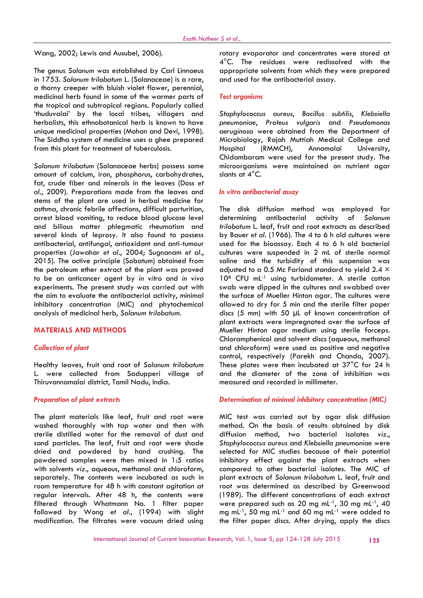Wang, 2002; Lewis and Ausubel, 2006).

The genus *Solanum* was established by Carl Linnaeus in 1753. *Solanum trilobatum* L*.* (Solanaceae) is a rare, a thorny creeper with bluish violet flower, perennial, medicinal herb found in some of the warmer parts of the tropical and subtropical regions. Popularly called 'thuduvalai' by the local tribes, villagers and herbalists, this ethnobotanical herb is known to have unique medicinal properties (Mohan and Devi, 1998). The Siddha system of medicine uses a ghee prepared from this plant for treatment of tuberculosis.

*Solanum trilobatum* (Solanaceae herbs) possess some amount of calcium, iron, phosphorus, carbohydrates, fat, crude fiber and minerals in the leaves (Doss *et al.*, 2009). Preparations made from the leaves and stems of the plant are used in herbal medicine for asthma, chronic febrile affections, difficult parturition, arrest blood vomiting, to reduce blood glucose level and bilious matter phlegmatic rheumatism and several kinds of leprosy. It also found to possess antibacterial, antifungal, antioxidant and anti-tumour properties (Jawahar *et al.*, 2004; Sugnanam *et al.*, 2015). The active principle (Sobatum) obtained from the petroleum ether extract of the plant was proved to be an anticancer agent by *in vitro* and *in vivo* experiments. The present study was carried out with the aim to evaluate the antibacterial activity, minimal inhibitory concentration (MIC) and phytochemical analysis of medicinal herb, *Solanum trilobatum*.

# **MATERIALS AND METHODS**

#### *Collection of plant*

Healthy leaves, fruit and root of *Solanum trilobatum* L. were collected from Sadupperi village of Thiruvannamalai district, Tamil Nadu, India.

# *Preparation of plant extracts*

The plant materials like leaf, fruit and root were washed thoroughly with tap water and then with sterile distilled water for the removal of dust and sand particles. The leaf, fruit and root were shade dried and powdered by hand crushing. The powdered samples were then mixed in 1:5 ratios with solvents *viz*., aqueous, methanol and chloroform, separately. The contents were incubated as such in room temperature for 48 h with constant agitation at regular intervals. After 48 h, the contents were filtered through Whatmann No. 1 filter paper followed by Wong *et al*., (1994) with slight modification. The filtrates were vacuum dried using

rotary evaporator and concentrates were stored at 4°C. The residues were redissolved with the appropriate solvents from which they were prepared and used for the antibacterial assay.

#### *Test organisms*

*Staphylococcus aureus*, *Bacillus subtilis*, *Klebsiella pneumoniae*, *Proteus vulgaris* and *Pseudomonas aeruginosa* were obtained from the Department of Microbiology, Rajah Muttiah Medical College and Hospital (RMMCH), Annamalai University, Chidambaram were used for the present study. The microorganisms were maintained on nutrient agar slants at 4°C.

#### *In vitro antibacterial assay*

The disk diffusion method was employed for determining antibacterial activity of *Solanum trilobatum* L. leaf, fruit and root extracts as described by Bauer *et al*. (1966). The 4 to 6 h old cultures were used for the bioassay. Each 4 to 6 h old bacterial cultures were suspended in 2 mL of sterile normal saline and the turbidity of this suspension was adjusted to a 0.5 Mc Farland standard to yield 2.4  $\times$ 10<sup>8</sup> CFU mL<sup>-1</sup> using turbidometer. A sterile cotton swab were dipped in the cultures and swabbed over the surface of Mueller Hinton agar. The cultures were allowed to dry for 5 min and the sterile filter paper discs (5 mm) with 50 µL of known concentration of plant extracts were impregnated over the surface of Mueller Hinton agar medium using sterile forceps. Chloramphenicol and solvent discs (aqueous, methanol and chloroform) were used as positive and negative control, respectively (Parekh and Chanda, 2007). These plates were then incubated at 37°C for 24 h and the diameter of the zone of inhibition was measured and recorded in millimeter.

#### *Determination of minimal inhibitory concentration (MIC)*

MIC test was carried out by agar disk diffusion method. On the basis of results obtained by disk diffusion method, two bacterial isolates *viz*., *Staphylococcus aureus* and *Klebsiella pneumoniae* were selected for MIC studies because of their potential inhibitory effect against the plant extracts when compared to other bacterial isolates. The MIC of plant extracts of *Solanum trilobatum* L. leaf, fruit and root was determined as described by Greenwood (1989). The different concentrations of each extract were prepared such as 20 mg mL-1, 30 mg mL-1, 40 mg mL $^{-1}$ , 50 mg mL $^{-1}$  and 60 mg mL $^{-1}$  were added to the filter paper discs. After drying, apply the discs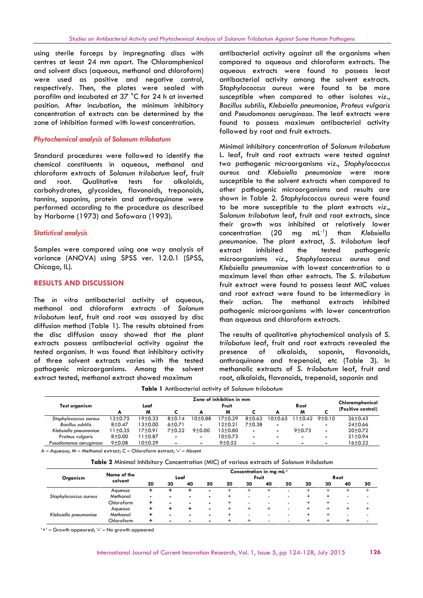using sterile forceps by impregnating discs with centres at least 24 mm apart. The Chloramphenicol and solvent discs (aqueous, methanol and chloroform) were used as positive and negative control, respectively. Then, the plates were sealed with parafilm and incubated at 37 °C for 24 h at inverted position. After incubation, the minimum inhibitory concentration of extracts can be determined by the zone of inhibition formed with lowest concentration.

# *Phytochemical analysis of Solanum trilobatum*

Standard procedures were followed to identify the chemical constituents in aqueous, methanol and chloroform extracts of *Solanum trilobatum* leaf, fruit and root. Qualitative tests for alkaloids, carbohydrates, glycosides, flavonoids, treponoids, tannins, saponins, protein and anthroquinone were performed according to the procedure as described by Harborne (1973) and Sofowara (1993).

# *Statistical analysis*

Samples were compared using one way analysis of variance (ANOVA) using SPSS ver. 12.0.1 (SPSS, Chicago, IL).

# **RESULTS AND DISCUSSION**

The *in vitro* antibacterial activity of aqueous, methanol and chloroform extracts of *Solanum trilobatum* leaf, fruit and root was assayed by disc diffusion method (Table 1). The results obtained from the disc diffusion assay showed that the plant extracts possess antibacterial activity against the tested organism. It was found that inhibitory activity of three solvent extracts varies with the tested pathogenic microorganisms. Among the solvent extract tested, methanol extract showed maximum

antibacterial activity against all the organisms when compared to aqueous and chloroform extracts. The aqueous extracts were found to possess least antibacterial activity among the solvent extracts. *Staphylococcus aureus* were found to be more susceptible when compared to other isolates *viz*., *Bacillus subtilis*, *Klebsiella pneumoniae*, *Proteus vulgaris* and *Pseudomonas aeruginosa*. The leaf extracts were found to possess maximum antibacterial activity followed by root and fruit extracts.

Minimal inhibitory concentration of *Solanum trilobatum* L. leaf, fruit and root extracts were tested against two pathogenic microorganisms *viz*., *Staphylococcus aureus* and *Klebsiella pneumoniae* were more susceptible to the solvent extracts when compared to other pathogenic microorganisms and results are shown in Table 2. *Staphylococcus aureus* were found to be more susceptible to the plant extracts *viz*., *Solanum trilobatum* leaf, fruit and root extracts, since their growth was inhibited at relatively lower concentration (20 mg mL-1) than *Klebsiella pneumoniae*. The plant extract, *S. trilobatum* leaf inhibited the tested pathogenic microorganisms *viz*., *Staphylococcus aureus* and *Klebsiella pneumoniae* with lowest concentration to a maximum level than other extracts. The *S. trilobatum* fruit extract were found to possess least MIC values and root extract were found to be intermediary in their action. The methanol extracts inhibited pathogenic microorganisms with lower concentration than aqueous and chloroform extracts.

The results of qualitative phytochemical analysis of *S*. *trilobatum* leaf, fruit and root extracts revealed the of alkaloids, saponin, flavonoids, anthroquinone and trepenoid, etc (Table 3). In methanolic extracts of *S*. *trilobatum* leaf, fruit and root, alkaloids, flavonoids, trepenoid, saponin and

| <b>Table 1</b> Antibacterial activity of Solanum trilobatum |  |  |  |  |  |  |
|-------------------------------------------------------------|--|--|--|--|--|--|
|-------------------------------------------------------------|--|--|--|--|--|--|

| Zone of inhibition in mm |            |                      |                |          |           |                |                |          |                 |                    |
|--------------------------|------------|----------------------|----------------|----------|-----------|----------------|----------------|----------|-----------------|--------------------|
| Test organism            |            | Leaf                 |                | Fruit    |           |                |                | Root     | Chloramphenicol |                    |
|                          | А          | M                    |                |          | M         |                | А              | M        |                 | (Positive control) |
| Staphylococcus aureus    | 12±0.75    | 19±0.33              | $8+0.14$       | 10+0.88  | $17+0.29$ | $8 + 0.63$     | $10+0.65$      |          | $1+0.42$ 9+0.10 | $26 \pm 0.43$      |
| Bacillus subtilis        | $8 + 0.47$ | $13+0.00$            | $6+0.71$       | ۰.       | 12±0.21   | $7+0.38$       | ۰              |          | ۰.              | $24 \pm 0.66$      |
| Klebsiella pneumoniae    | 11±0.35    | 17 <sup>±</sup> 0.91 | $7+0.22$       | $9+0.00$ | 15+0.80   | $\sim$         | ٠              | $9+0.73$ | ۰.              | $20+0.72$          |
| Proteus vulgaris         | $8 + 0.00$ | 11±0.87              | $\blacksquare$ |          | $10+0.73$ | $\blacksquare$ | $\blacksquare$ |          |                 | $21 \pm 0.94$      |
| Pseudomonas aeruginosa   | 9±0.08     | 10±0.29              | $\blacksquare$ |          | 9±0.52    | $\blacksquare$ |                |          |                 | $16 \pm 0.22$      |

A –Aqueous; M – Methanol extract; C –Chloroform extract; '**-**' – Absent

**Table 2** Minimal Inhibitory Concentration (MIC) of various extracts of *Solanum trilobatum*

| Organism              | Name of the | Concentration in mg mL <sup>-1</sup><br>Fruit<br>Leaf<br>Root |    |    |                |    |                          |    |                          |    |    |                          |                          |
|-----------------------|-------------|---------------------------------------------------------------|----|----|----------------|----|--------------------------|----|--------------------------|----|----|--------------------------|--------------------------|
|                       | solvent     | 20                                                            | 30 | 40 | 50             | 20 | 30                       | 40 | 50                       | 20 | 30 | 40                       | 50                       |
|                       | Aqueous     |                                                               |    |    | $\blacksquare$ |    |                          |    | $\overline{\phantom{a}}$ |    |    |                          |                          |
| Staphylococcus aureus | Methanol    |                                                               |    |    |                |    | $\overline{\phantom{a}}$ |    | $\overline{\phantom{a}}$ |    |    | -                        | $\overline{\phantom{a}}$ |
|                       | Chloroform  | ÷                                                             |    |    | ۰              |    | -                        |    | $\overline{\phantom{a}}$ |    |    | $\overline{\phantom{0}}$ | $\overline{\phantom{0}}$ |
|                       | Aqueous     |                                                               |    |    |                |    |                          |    |                          |    |    |                          |                          |
| Klebsiella pneumoniae | Methanol    | ÷                                                             |    |    |                |    | $\overline{a}$           |    | $\overline{\phantom{a}}$ |    |    | -                        | $\overline{\phantom{0}}$ |
|                       | Chloroform  | ٠                                                             |    |    |                |    |                          |    | $\overline{\phantom{a}}$ |    |    |                          | $\overline{\phantom{0}}$ |

'+' – Growth appeared; '**-**' – No growth appeared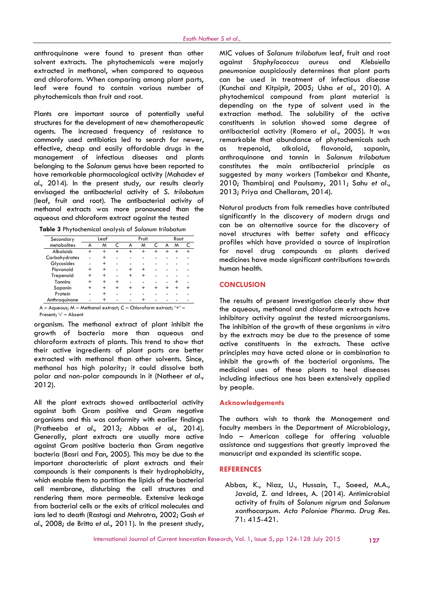anthroquinone were found to present than other solvent extracts. The phytochemicals were majorly against extracted in methanol, when compared to aqueous and chloroform. When comparing among plant parts, leaf were found to contain various number of phytochemicals than fruit and root.

Plants are important source of potentially useful structures for the development of new chemotherapeutic agents. The increased frequency of resistance to commonly used antibiotics led to search for newer, effective, cheap and easily affordable drugs in the management of infectious diseases and plants belonging to the *Solanum* genus have been reported to have remarkable pharmacological activity (Mahadev *et al.*, 2014). In the present study, our results clearly envisaged the antibacterial activity of *S. trilobatum* (leaf, fruit and root). The antibacterial activity of methanol extracts was more pronounced than the aqueous and chloroform extract against the tested

|  |  |  | Table 3 Phytochemical analysis of Solanum trilobatum |  |
|--|--|--|------------------------------------------------------|--|
|--|--|--|------------------------------------------------------|--|

| Secondary        |       | Leaf       |       |        | Fruit |  | Root |   |
|------------------|-------|------------|-------|--------|-------|--|------|---|
| metabolites      | А     | м          |       | A      | м     |  | M    | C |
| <b>Alkaloids</b> |       | $\ddot{}$  |       |        |       |  |      |   |
| Carbohydrates    |       | $\,{}^+$   |       |        |       |  |      |   |
| Glycosides       |       | $\,{}^+$   |       |        |       |  |      |   |
| Flavonoid        | $\pm$ | $\hbox{ }$ |       | $\div$ |       |  |      |   |
| Trepenoid        | $\pm$ |            |       |        |       |  |      |   |
| Tannins          |       |            | $\pm$ |        |       |  |      |   |
| Saponin          |       | $\hbox{ }$ | $\pm$ |        |       |  |      |   |
| Protein          |       |            |       |        |       |  |      |   |
| Anthroquinone    |       | +          |       |        |       |  |      |   |

Present; '**-**' – Absent

organism. The methanol extract of plant inhibit the growth of bacteria more than aqueous and chloroform extracts of plants. This trend to show that their active ingredients of plant parts are better extracted with methanol than other solvents. Since, methanol has high polarity; it could dissolve both polar and non-polar compounds in it (Natheer *et al.*, 2012).

All the plant extracts showed antibacterial activity against both Gram positive and Gram negative organisms and this was conformity with earlier findings (Pratheeba *et al.*, 2013; Abbas *et al.*, 2014). Generally, plant extracts are usually more active against Gram positive bacteria than Gram negative bacteria (Basri and Fan, 2005). This may be due to the important characteristic of plant extracts and their compounds is their components is their hydrophobicity, which enable them to partition the lipids of the bacterial cell membrane, disturbing the cell structures and rendering them more permeable. Extensive leakage from bacterial cells or the exits of critical molecules and ions led to death (Rastogi and Mehrotra, 2002; Gosh *et al.*, 2008; de Britto *et al.*, 2011). In the present study,

MIC values of *Solanum trilobatum* leaf, fruit and root Staphylococcus aureus and *Klebsiella pneumoniae* auspiciously determines that plant parts can be used in treatment of infectious disease (Kunchai and Kitpipit, 2005; Usha *et al.*, 2010). A phytochemical compound from plant material is depending on the type of solvent used in the extraction method. The solubility of the active constituents in solution showed some degree of antibacterial activity (Romero *et al.*, 2005). It was remarkable that abundance of phytochemicals such trepenoid, alkaloid, flavonoid, saponin, anthroquinone and tannin in *Solanum trilobatum* constitutes the main antibacterial principle as suggested by many workers (Tambekar and Khante, 2010; Thambiraj and Paulsamy, 2011; Sahu *et al.*, 2013; Priya and Chellaram, 2014).

Natural products from folk remedies have contributed significantly in the discovery of modern drugs and can be an alternative source for the discovery of novel structures with better safety and efficacy profiles which have provided a source of inspiration for novel drug compounds as plants derived medicines have made significant contributions towards human health.

### **CONCLUSION**

The results of present investigation clearly show that the aqueous, methanol and chloroform extracts have inhibitory activity against the tested microorganisms. The inhibition of the growth of these organisms *in vitro* by the extracts may be due to the presence of some active constituents in the extracts. These active principles may have acted alone or in combination to inhibit the growth of the bacterial organisms. The medicinal uses of these plants to heal diseases including infectious one has been extensively applied by people.

#### **Acknowledgements**

The authors wish to thank the Management and faculty members in the Department of Microbiology, Indo – American college for offering valuable assistance and suggestions that greatly improved the manuscript and expanded its scientific scope.

#### **REFERENCES**

Abbas, K., Niaz, U., Hussain, T., Saeed, M.A., Javaid, Z. and Idrees, A. (2014). Antimicrobial activity of fruits of *Solanum nigrum* and *Solanum xanthocarpum. Acta Poloniae Pharma. Drug Res.* 71: 415-421.